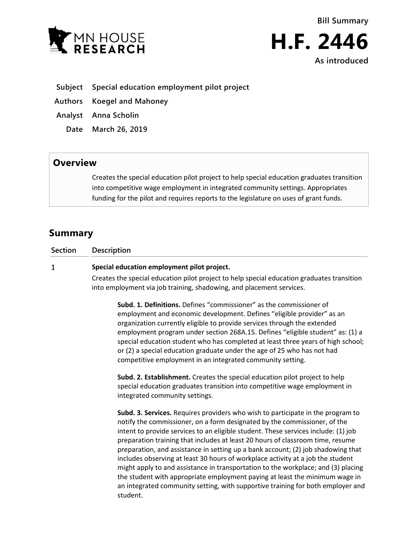



- **Subject Special education employment pilot project**
- **Authors Koegel and Mahoney**
- **Analyst Anna Scholin**
	- **Date March 26, 2019**

## **Overview**

Creates the special education pilot project to help special education graduates transition into competitive wage employment in integrated community settings. Appropriates funding for the pilot and requires reports to the legislature on uses of grant funds.

# **Summary**

#### $\mathbf{1}$ **Special education employment pilot project.**

Creates the special education pilot project to help special education graduates transition into employment via job training, shadowing, and placement services.

**Subd. 1. Definitions.** Defines "commissioner" as the commissioner of employment and economic development. Defines "eligible provider" as an organization currently eligible to provide services through the extended employment program under section 268A.15. Defines "eligible student" as: (1) a special education student who has completed at least three years of high school; or (2) a special education graduate under the age of 25 who has not had competitive employment in an integrated community setting.

**Subd. 2. Establishment.** Creates the special education pilot project to help special education graduates transition into competitive wage employment in integrated community settings.

**Subd. 3. Services.** Requires providers who wish to participate in the program to notify the commissioner, on a form designated by the commissioner, of the intent to provide services to an eligible student. These services include: (1) job preparation training that includes at least 20 hours of classroom time, resume preparation, and assistance in setting up a bank account; (2) job shadowing that includes observing at least 30 hours of workplace activity at a job the student might apply to and assistance in transportation to the workplace; and (3) placing the student with appropriate employment paying at least the minimum wage in an integrated community setting, with supportive training for both employer and student.